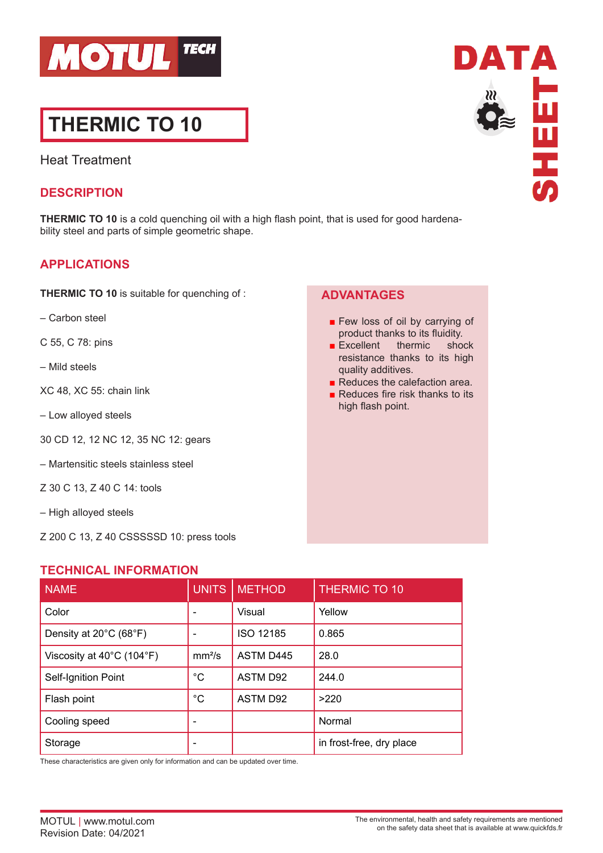

# **THERMIC TO 10**

Heat Treatment

### **DESCRIPTION**

**THERMIC TO 10** is a cold quenching oil with a high flash point, that is used for good hardenability steel and parts of simple geometric shape.

# **APPLICATIONS**

**THERMIC TO 10** is suitable for quenching of :

- Carbon steel
- C 55, C 78: pins
- Mild steels
- XC 48, XC 55: chain link
- Low alloyed steels
- 30 CD 12, 12 NC 12, 35 NC 12: gears
- Martensitic steels stainless steel
- Z 30 C 13, Z 40 C 14: tools
- High alloyed steels
- Z 200 C 13, Z 40 CSSSSSD 10: press tools

#### **TECHNICAL INFORMATION**

| <b>NAME</b>                                    | <b>UNITS</b>       | <b>METHOD</b> | <b>THERMIC TO 10</b>     |
|------------------------------------------------|--------------------|---------------|--------------------------|
| Color                                          |                    | Visual        | Yellow                   |
| Density at 20°C (68°F)                         |                    | ISO 12185     | 0.865                    |
| Viscosity at $40^{\circ}$ C (104 $^{\circ}$ F) | mm <sup>2</sup> /s | ASTM D445     | 28.0                     |
| Self-Ignition Point                            | $^{\circ}C$        | ASTM D92      | 244.0                    |
| Flash point                                    | $^{\circ}C$        | ASTM D92      | >220                     |
| Cooling speed                                  |                    |               | Normal                   |
| Storage                                        |                    |               | in frost-free, dry place |

These characteristics are given only for information and can be updated over time.



# **ADVANTAGES**

- Few loss of oil by carrying of product thanks to its fluidity.
- Excellent thermic shock resistance thanks to its high quality additives.
- Reduces the calefaction area.
- Reduces fire risk thanks to its high flash point.